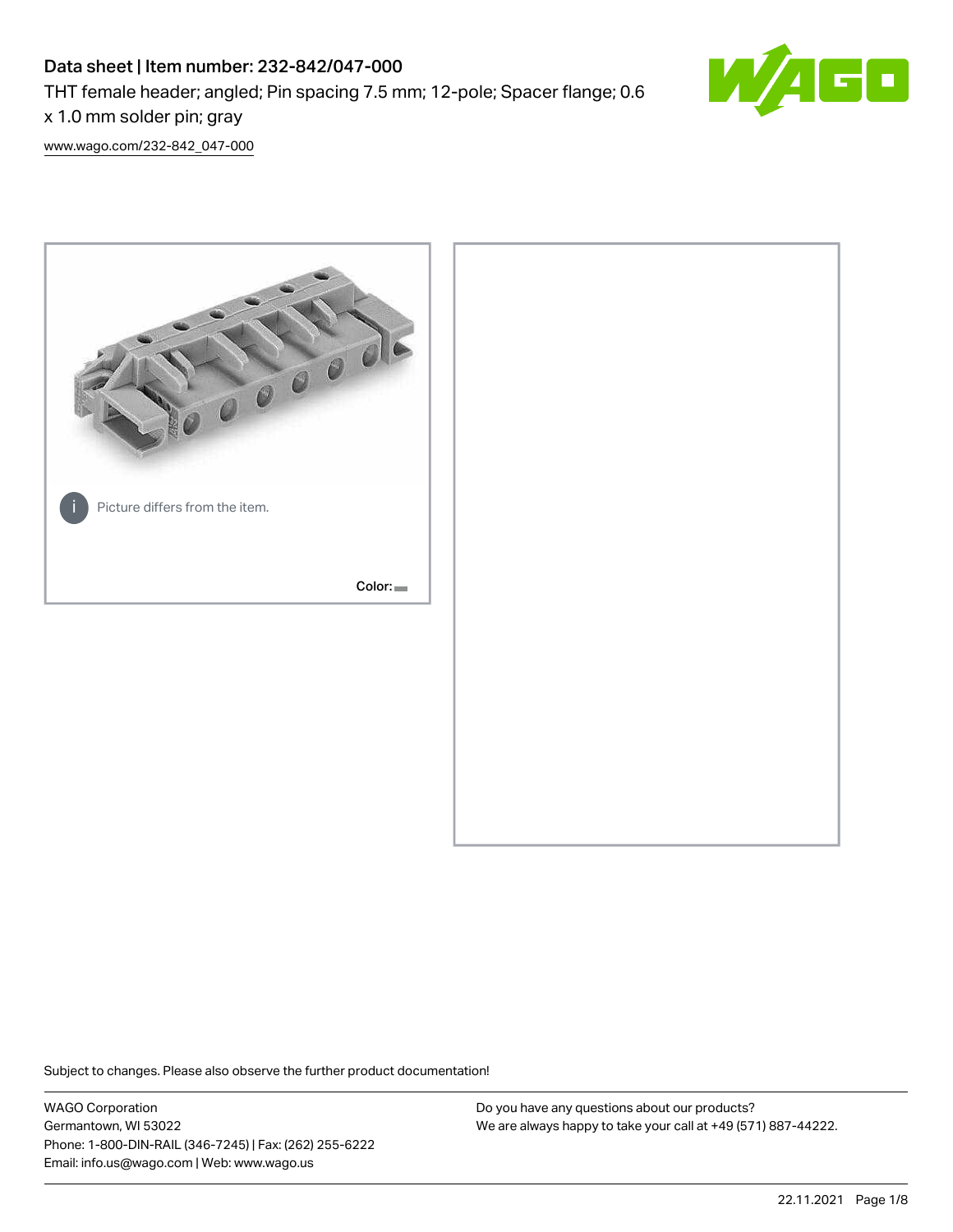# Data sheet | Item number: 232-842/047-000 THT female header; angled; Pin spacing 7.5 mm; 12-pole; Spacer flange; 0.6 x 1.0 mm solder pin; gray



[www.wago.com/232-842\\_047-000](http://www.wago.com/232-842_047-000)



Subject to changes. Please also observe the further product documentation!

WAGO Corporation Germantown, WI 53022 Phone: 1-800-DIN-RAIL (346-7245) | Fax: (262) 255-6222 Email: info.us@wago.com | Web: www.wago.us

Do you have any questions about our products? We are always happy to take your call at +49 (571) 887-44222.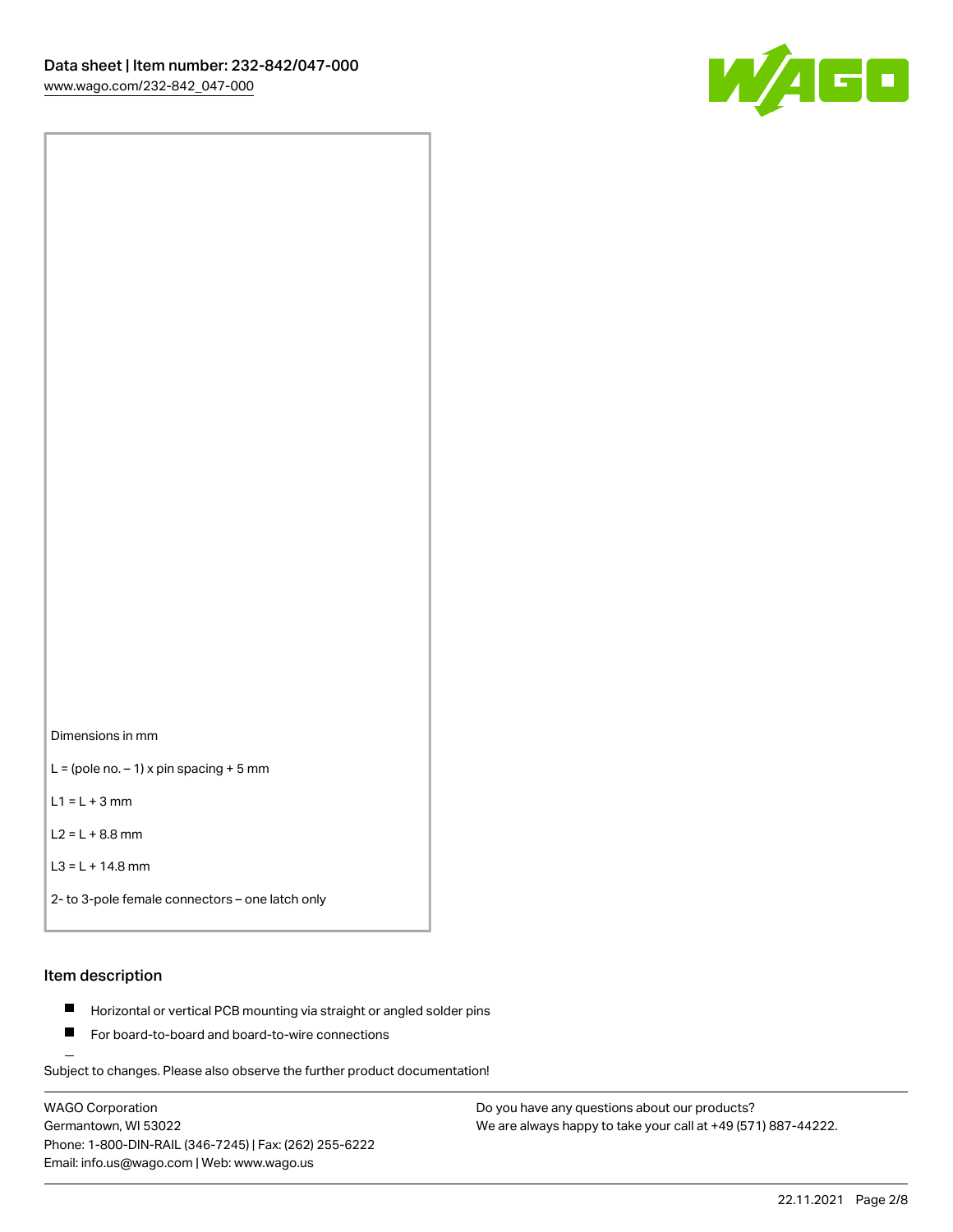W/160

Dimensions in mm

 $L =$  (pole no.  $-1$ ) x pin spacing + 5 mm

 $L1 = L + 3$  mm

 $L2 = L + 8.8$  mm

```
L3 = L + 14.8 mm
```
2- to 3-pole female connectors – one latch only

#### Item description

- **Horizontal or vertical PCB mounting via straight or angled solder pins**
- For board-to-board and board-to-wire connections

Subject to changes. Please also observe the further product documentation!

WAGO Corporation Germantown, WI 53022 Phone: 1-800-DIN-RAIL (346-7245) | Fax: (262) 255-6222 Email: info.us@wago.com | Web: www.wago.us

Do you have any questions about our products? We are always happy to take your call at +49 (571) 887-44222.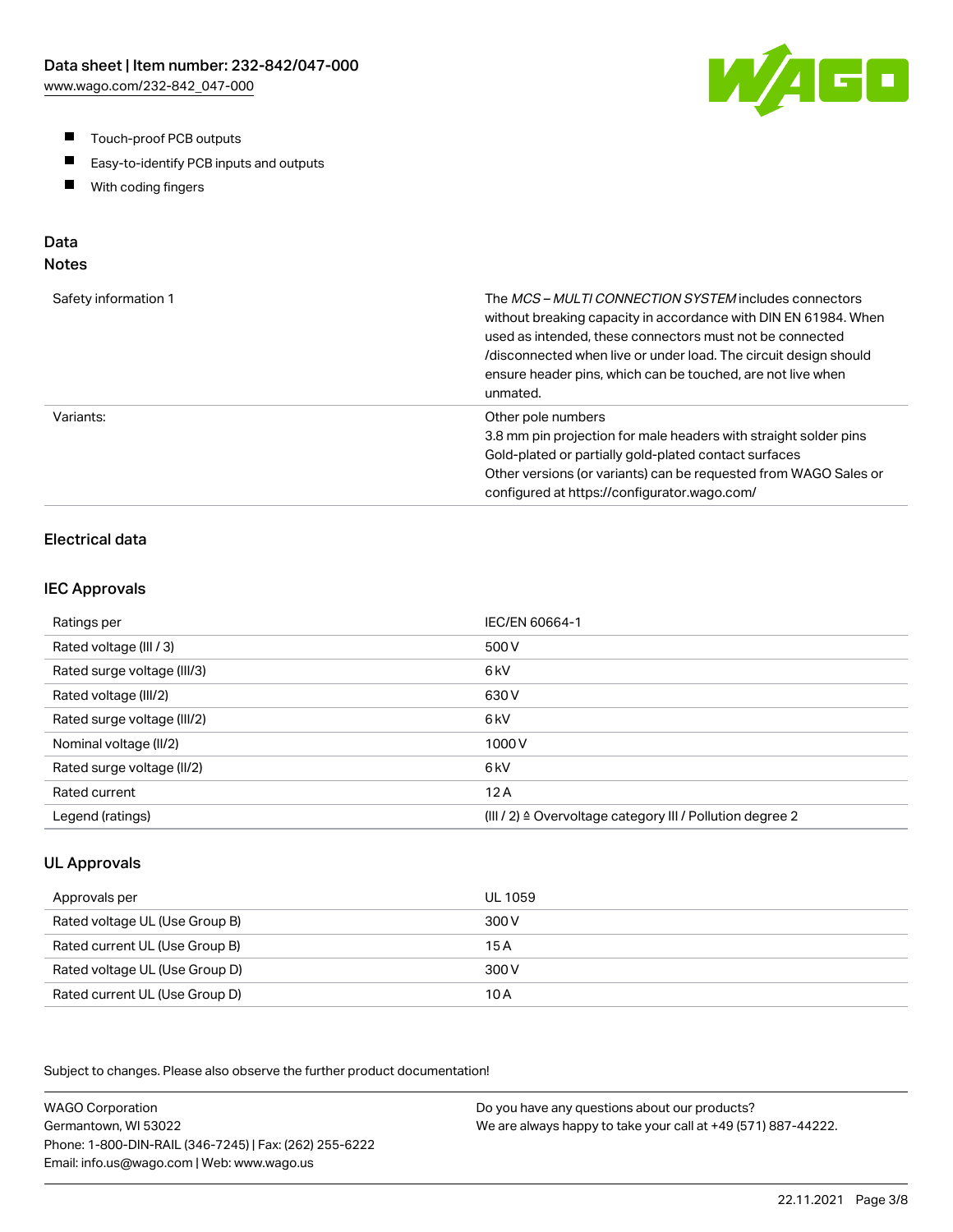- $\blacksquare$ Touch-proof PCB outputs
- $\blacksquare$ Easy-to-identify PCB inputs and outputs
- With coding fingers  $\blacksquare$

# Data

## Notes

| Safety information 1 | The MCS-MULTI CONNECTION SYSTEM includes connectors<br>without breaking capacity in accordance with DIN EN 61984. When<br>used as intended, these connectors must not be connected<br>/disconnected when live or under load. The circuit design should<br>ensure header pins, which can be touched, are not live when<br>unmated. |
|----------------------|-----------------------------------------------------------------------------------------------------------------------------------------------------------------------------------------------------------------------------------------------------------------------------------------------------------------------------------|
| Variants:            | Other pole numbers<br>3.8 mm pin projection for male headers with straight solder pins<br>Gold-plated or partially gold-plated contact surfaces<br>Other versions (or variants) can be requested from WAGO Sales or<br>configured at https://configurator.wago.com/                                                               |

### Electrical data

#### IEC Approvals

| Ratings per                 | IEC/EN 60664-1                                                       |
|-----------------------------|----------------------------------------------------------------------|
| Rated voltage (III / 3)     | 500 V                                                                |
| Rated surge voltage (III/3) | 6 <sub>kV</sub>                                                      |
| Rated voltage (III/2)       | 630 V                                                                |
| Rated surge voltage (III/2) | 6 <sub>kV</sub>                                                      |
| Nominal voltage (II/2)      | 1000V                                                                |
| Rated surge voltage (II/2)  | 6 <sub>k</sub> V                                                     |
| Rated current               | 12A                                                                  |
| Legend (ratings)            | (III / 2) $\triangleq$ Overvoltage category III / Pollution degree 2 |

#### UL Approvals

| Approvals per                  | UL 1059 |
|--------------------------------|---------|
| Rated voltage UL (Use Group B) | 300 V   |
| Rated current UL (Use Group B) | 15 A    |
| Rated voltage UL (Use Group D) | 300 V   |
| Rated current UL (Use Group D) | 10 A    |

Subject to changes. Please also observe the further product documentation!

WAGO Corporation Germantown, WI 53022 Phone: 1-800-DIN-RAIL (346-7245) | Fax: (262) 255-6222 Email: info.us@wago.com | Web: www.wago.us Do you have any questions about our products? We are always happy to take your call at +49 (571) 887-44222.

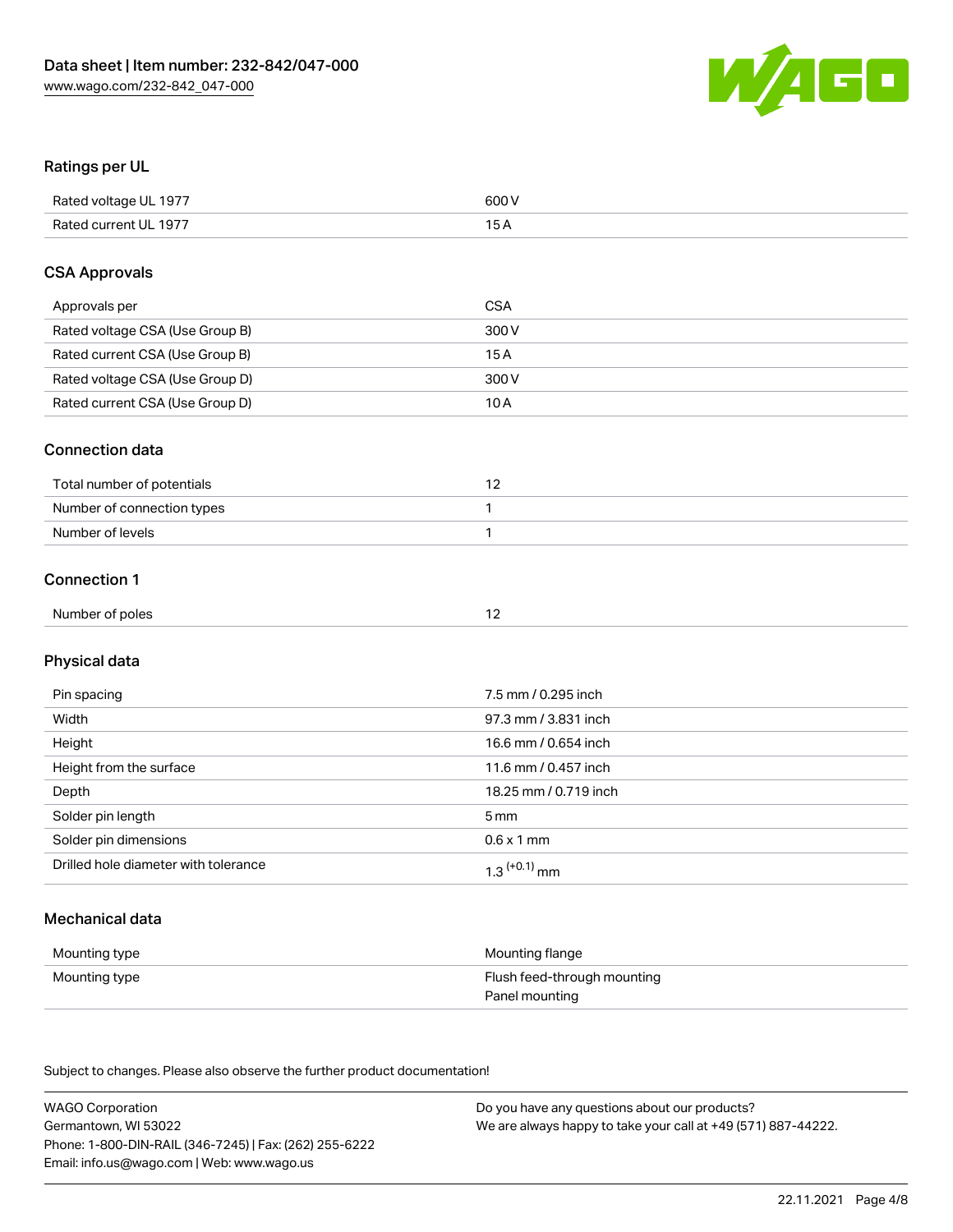

#### Ratings per UL

| Rated voltage UL 1977 | 600 V |
|-----------------------|-------|
| Rated current UL 1977 |       |

#### CSA Approvals

| Approvals per                   | CSA   |
|---------------------------------|-------|
| Rated voltage CSA (Use Group B) | 300 V |
| Rated current CSA (Use Group B) | 15 A  |
| Rated voltage CSA (Use Group D) | 300 V |
| Rated current CSA (Use Group D) | 10 A  |

#### Connection data

| Total number of potentials |  |
|----------------------------|--|
| Number of connection types |  |
| Number of levels           |  |

### Connection 1

| Number of poles |  |
|-----------------|--|
|-----------------|--|

## Physical data

| Pin spacing                          | 7.5 mm / 0.295 inch   |
|--------------------------------------|-----------------------|
| Width                                | 97.3 mm / 3.831 inch  |
| Height                               | 16.6 mm / 0.654 inch  |
| Height from the surface              | 11.6 mm / 0.457 inch  |
| Depth                                | 18.25 mm / 0.719 inch |
| Solder pin length                    | 5 mm                  |
| Solder pin dimensions                | $0.6 \times 1$ mm     |
| Drilled hole diameter with tolerance | $1.3$ $(+0.1)$ mm     |

## Mechanical data

| Mounting type | Mounting flange             |
|---------------|-----------------------------|
| Mounting type | Flush feed-through mounting |
|               | Panel mounting              |

Subject to changes. Please also observe the further product documentation!

| <b>WAGO Corporation</b>                                | Do you have any questions about our products?                 |
|--------------------------------------------------------|---------------------------------------------------------------|
| Germantown, WI 53022                                   | We are always happy to take your call at +49 (571) 887-44222. |
| Phone: 1-800-DIN-RAIL (346-7245)   Fax: (262) 255-6222 |                                                               |
| Email: info.us@wago.com   Web: www.wago.us             |                                                               |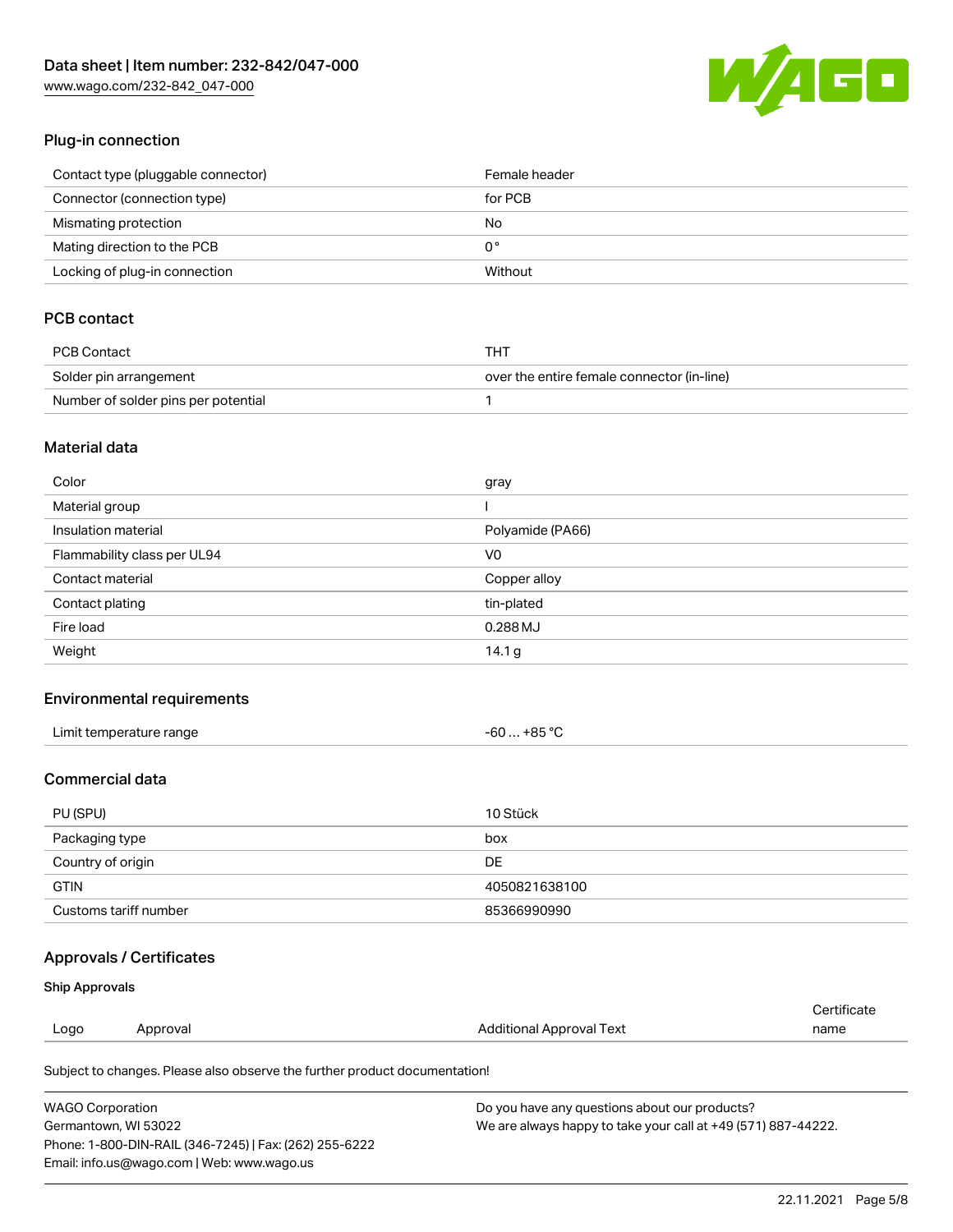[www.wago.com/232-842\\_047-000](http://www.wago.com/232-842_047-000)



#### Plug-in connection

| Contact type (pluggable connector) | Female header |
|------------------------------------|---------------|
| Connector (connection type)        | for PCB       |
| Mismating protection               | No            |
| Mating direction to the PCB        | 0°            |
| Locking of plug-in connection      | Without       |

## PCB contact

| PCB Contact                         | THT                                        |
|-------------------------------------|--------------------------------------------|
| Solder pin arrangement              | over the entire female connector (in-line) |
| Number of solder pins per potential |                                            |

#### Material data

| Color                       | gray             |
|-----------------------------|------------------|
| Material group              |                  |
| Insulation material         | Polyamide (PA66) |
| Flammability class per UL94 | V <sub>0</sub>   |
| Contact material            | Copper alloy     |
| Contact plating             | tin-plated       |
| Fire load                   | $0.288$ MJ       |
| Weight                      | 14.1 g           |

#### Environmental requirements

| Limit temperature range | -60  +85 °C |
|-------------------------|-------------|
|-------------------------|-------------|

## Commercial data

| PU (SPU)              | 10 Stück      |
|-----------------------|---------------|
| Packaging type        | box           |
| Country of origin     | DE            |
| <b>GTIN</b>           | 4050821638100 |
| Customs tariff number | 85366990990   |

### Approvals / Certificates

#### Ship Approvals

|      |          |                          | Certificate |
|------|----------|--------------------------|-------------|
| Logo | Approval | Additional Approval Text | name        |
|      |          |                          |             |

Subject to changes. Please also observe the further product documentation!

| <b>WAGO Corporation</b>                                | Do you have any questions about our products?                 |
|--------------------------------------------------------|---------------------------------------------------------------|
| Germantown, WI 53022                                   | We are always happy to take your call at +49 (571) 887-44222. |
| Phone: 1-800-DIN-RAIL (346-7245)   Fax: (262) 255-6222 |                                                               |
| Email: info.us@wago.com   Web: www.wago.us             |                                                               |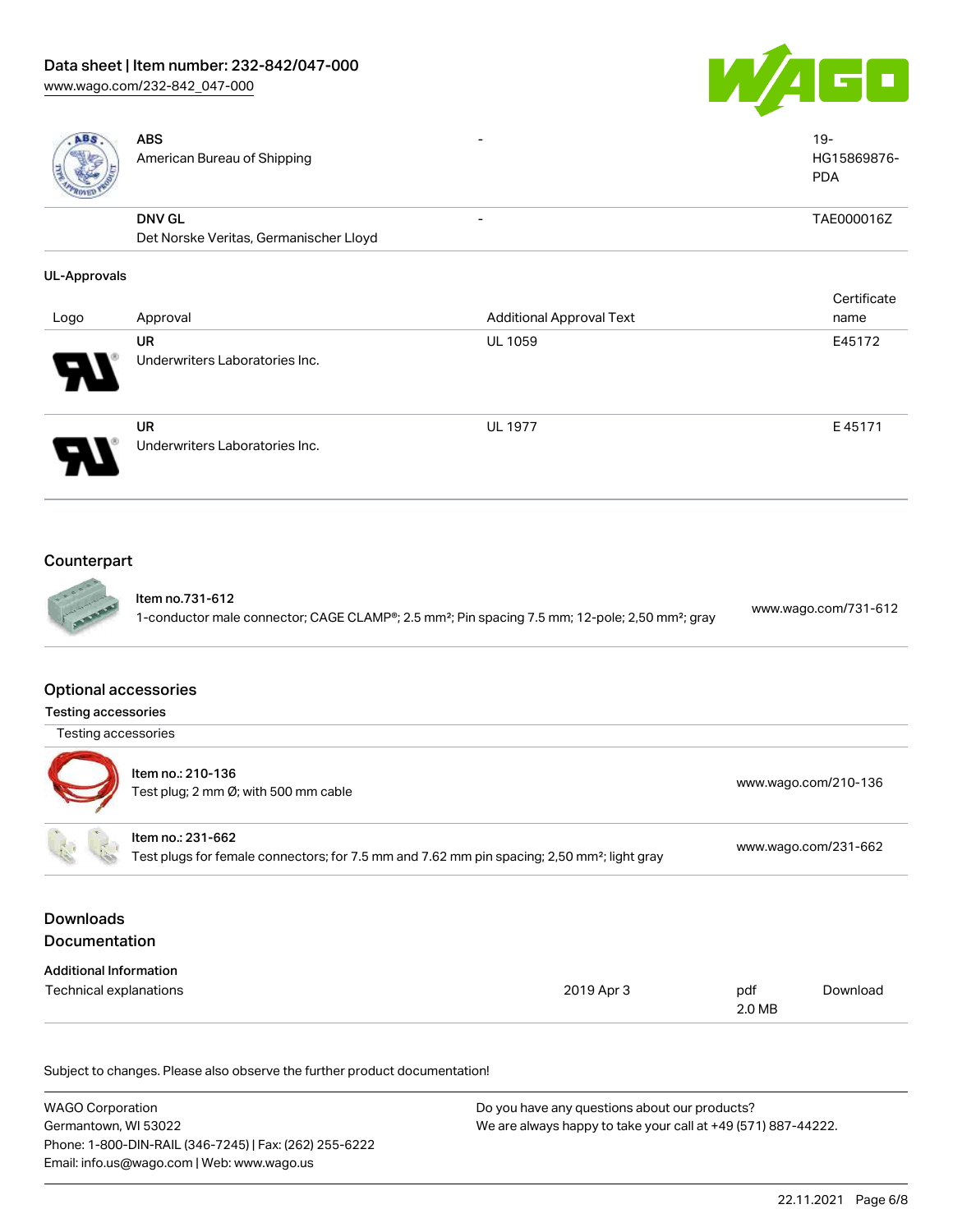## Data sheet | Item number: 232-842/047-000

[www.wago.com/232-842\\_047-000](http://www.wago.com/232-842_047-000)





| ABS                                                       | <b>ABS</b><br>American Bureau of Shipping                                                                                                  |                                 | $19 -$<br>HG15869876-<br><b>PDA</b> |
|-----------------------------------------------------------|--------------------------------------------------------------------------------------------------------------------------------------------|---------------------------------|-------------------------------------|
|                                                           | <b>DNV GL</b>                                                                                                                              |                                 | TAE000016Z                          |
|                                                           | Det Norske Veritas, Germanischer Lloyd                                                                                                     |                                 |                                     |
| <b>UL-Approvals</b>                                       |                                                                                                                                            |                                 |                                     |
|                                                           |                                                                                                                                            |                                 | Certificate                         |
| Logo                                                      | Approval                                                                                                                                   | <b>Additional Approval Text</b> | name                                |
|                                                           | <b>UR</b>                                                                                                                                  | UL 1059                         | E45172                              |
|                                                           | Underwriters Laboratories Inc.                                                                                                             |                                 |                                     |
|                                                           |                                                                                                                                            |                                 |                                     |
|                                                           | <b>UR</b>                                                                                                                                  | <b>UL 1977</b>                  | E45171                              |
|                                                           | Underwriters Laboratories Inc.                                                                                                             |                                 |                                     |
|                                                           |                                                                                                                                            |                                 |                                     |
| Counterpart                                               |                                                                                                                                            |                                 |                                     |
|                                                           | Item no.731-612<br>1-conductor male connector; CAGE CLAMP®; 2.5 mm <sup>2</sup> ; Pin spacing 7.5 mm; 12-pole; 2,50 mm <sup>2</sup> ; gray |                                 | www.wago.com/731-612                |
| <b>Optional accessories</b><br><b>Testing accessories</b> |                                                                                                                                            |                                 |                                     |
| Testing accessories                                       |                                                                                                                                            |                                 |                                     |
|                                                           | Item no.: 210-136<br>Test plug; 2 mm Ø; with 500 mm cable                                                                                  |                                 | www.wago.com/210-136                |
|                                                           | Item no.: 231-662<br>Test plugs for female connectors; for 7.5 mm and 7.62 mm pin spacing; 2,50 mm <sup>2</sup> ; light gray               |                                 | www.wago.com/231-662                |

# Downloads Documentation

| <b>Additional Information</b> |            |        |          |
|-------------------------------|------------|--------|----------|
| Technical explanations        | 2019 Apr 3 | pdf    | Download |
|                               |            | 2.0 MB |          |

Subject to changes. Please also observe the further product documentation!

| <b>WAGO Corporation</b>                                | Do you have any questions about our products?                 |
|--------------------------------------------------------|---------------------------------------------------------------|
| Germantown, WI 53022                                   | We are always happy to take your call at +49 (571) 887-44222. |
| Phone: 1-800-DIN-RAIL (346-7245)   Fax: (262) 255-6222 |                                                               |
| Email: info.us@wago.com   Web: www.wago.us             |                                                               |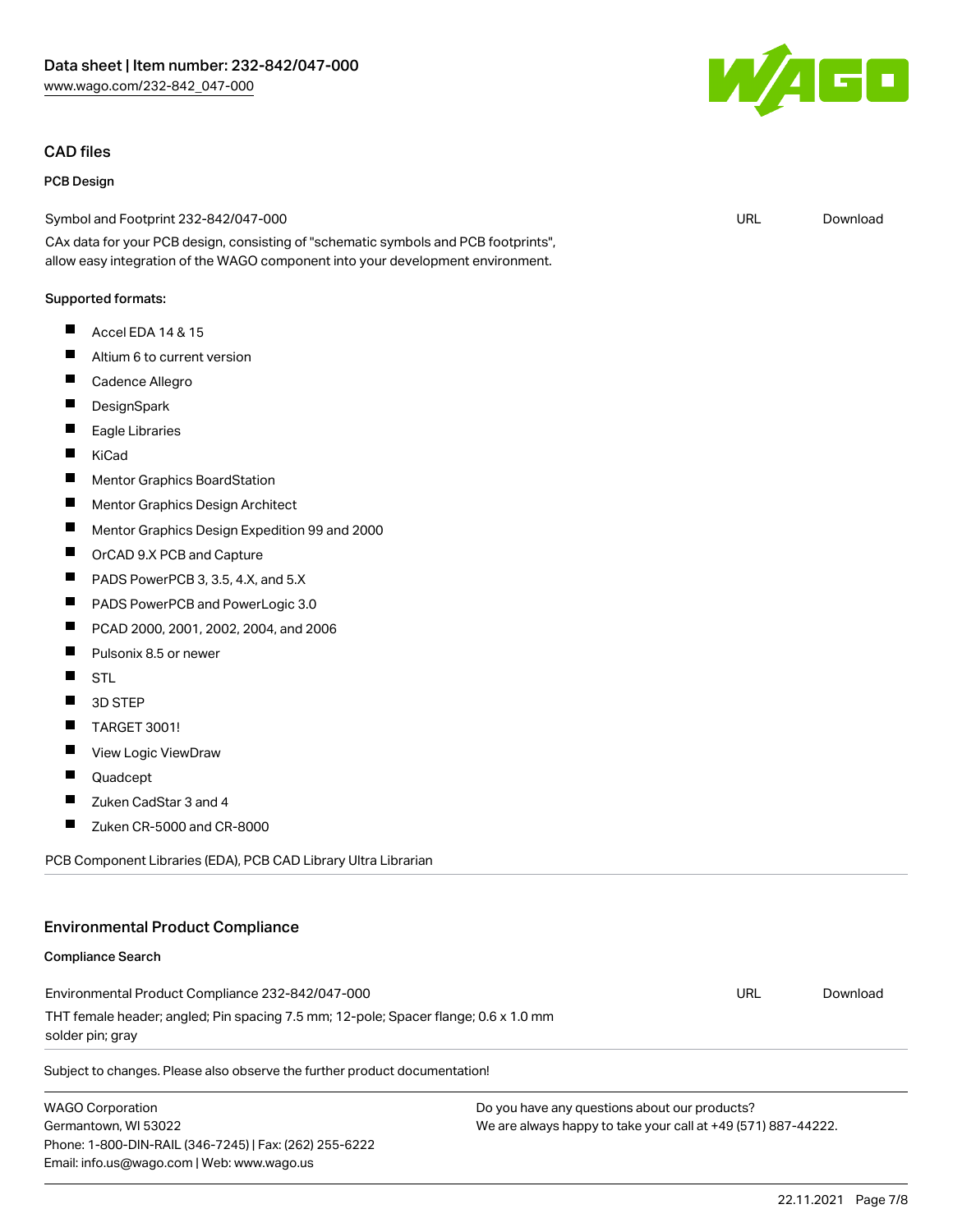#### CAD files

#### PCB Design

Symbol and Footprint 232-842/047-000

CAx data for your PCB design, consisting of "schematic symbols and PCB footprints", allow easy integration of the WAGO component into your development environment.

#### Supported formats:

- $\blacksquare$ Accel EDA 14 & 15
- $\blacksquare$ Altium 6 to current version
- П Cadence Allegro
- П **DesignSpark**
- $\blacksquare$ Eagle Libraries
- $\blacksquare$ KiCad
- $\blacksquare$ Mentor Graphics BoardStation
- $\blacksquare$ Mentor Graphics Design Architect
- П Mentor Graphics Design Expedition 99 and 2000
- П OrCAD 9.X PCB and Capture
- **The State** PADS PowerPCB 3, 3.5, 4.X, and 5.X
- $\blacksquare$ PADS PowerPCB and PowerLogic 3.0
- $\blacksquare$ PCAD 2000, 2001, 2002, 2004, and 2006
- П Pulsonix 8.5 or newer
- П STL
- П 3D STEP
- П TARGET 3001!
- $\blacksquare$ View Logic ViewDraw
- П Quadcept
- П Zuken CadStar 3 and 4
- $\blacksquare$ Zuken CR-5000 and CR-8000

PCB Component Libraries (EDA), PCB CAD Library Ultra Librarian

### Environmental Product Compliance

#### Compliance Search

Environmental Product Compliance 232-842/047-000 THT female header; angled; Pin spacing 7.5 mm; 12-pole; Spacer flange; 0.6 x 1.0 mm solder pin; gray

Subject to changes. Please also observe the further product documentation!

WAGO Corporation Germantown, WI 53022 Phone: 1-800-DIN-RAIL (346-7245) | Fax: (262) 255-6222 Email: info.us@wago.com | Web: www.wago.us

Do you have any questions about our products? We are always happy to take your call at +49 (571) 887-44222.



URL [Download](https://www.wago.com/global/d/UltraLibrarian_URLS_232-842_047-000)

URL [Download](https://www.wago.com/global/d/ComplianceLinkMediaContainer_232-842_047-000)